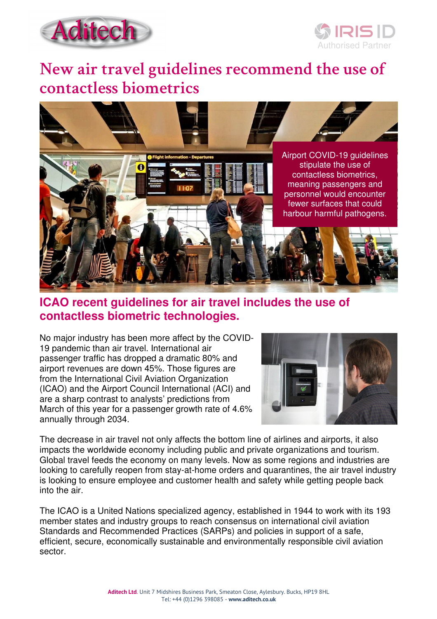



# **New air travel guidelines recommend the use of contactless biometrics**



## **ICAO recent guidelines for air travel includes the use of contactless biometric technologies.**

No major industry has been more affect by the COVID-19 pandemic than air travel. International air passenger traffic has dropped a dramatic 80% and airport revenues are down 45%. Those figures are from the International Civil Aviation Organization (ICAO) and the Airport Council International (ACI) and are a sharp contrast to analysts' predictions from March of this year for a passenger growth rate of 4.6% annually through 2034.



The decrease in air travel not only affects the bottom line of airlines and airports, it also impacts the worldwide economy including public and private organizations and tourism. Global travel feeds the economy on many levels. Now as some regions and industries are looking to carefully reopen from stay-at-home orders and quarantines, the air travel industry is looking to ensure employee and customer health and safety while getting people back into the air.

The ICAO is a United Nations specialized agency, established in 1944 to work with its 193 member states and industry groups to reach consensus on international civil aviation Standards and Recommended Practices (SARPs) and policies in support of a safe, efficient, secure, economically sustainable and environmentally responsible civil aviation sector.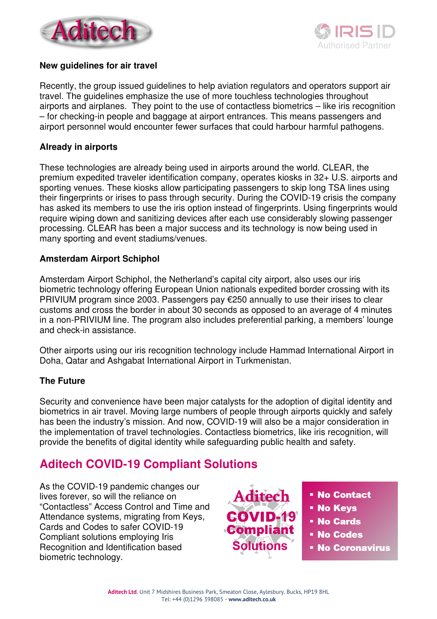



#### **New guidelines for air travel**

Recently, the group issued guidelines to help aviation regulators and operators support air travel. The guidelines emphasize the use of more touchless technologies throughout airports and airplanes. They point to the use of contactless biometrics – like iris recognition – for checking-in people and baggage at airport entrances. This means passengers and airport personnel would encounter fewer surfaces that could harbour harmful pathogens.

### **Already in airports**

These technologies are already being used in airports around the world. CLEAR, the premium expedited traveler identification company, operates kiosks in 32+ U.S. airports and sporting venues. These kiosks allow participating passengers to skip long TSA lines using their fingerprints or irises to pass through security. During the COVID-19 crisis the company has asked its members to use the iris option instead of fingerprints. Using fingerprints would require wiping down and sanitizing devices after each use considerably slowing passenger processing. CLEAR has been a major success and its technology is now being used in many sporting and event stadiums/venues.

### **Amsterdam Airport Schiphol**

Amsterdam Airport Schiphol, the Netherland's capital city airport, also uses our iris biometric technology offering European Union nationals expedited border crossing with its PRIVIUM program since 2003. Passengers pay €250 annually to use their irises to clear customs and cross the border in about 30 seconds as opposed to an average of 4 minutes in a non-PRIVIUM line. The program also includes preferential parking, a members' lounge and check-in assistance.

Other airports using our iris recognition technology include Hammad International Airport in Doha, Qatar and Ashgabat International Airport in Turkmenistan.

## **The Future**

Security and convenience have been major catalysts for the adoption of digital identity and biometrics in air travel. Moving large numbers of people through airports quickly and safely has been the industry's mission. And now, COVID-19 will also be a major consideration in the implementation of travel technologies. Contactless biometrics, like iris recognition, will provide the benefits of digital identity while safeguarding public health and safety.

# **Aditech COVID-19 Compliant Solutions**

As the COVID-19 pandemic changes our lives forever, so will the reliance on "Contactless" Access Control and Time and Attendance systems, migrating from Keys, Cards and Codes to safer COVID-19 Compliant solutions employing Iris Recognition and Identification based biometric technology.



- No Contact
- No Keys
- No Cards
- No Codes
- **No Coronavirus**